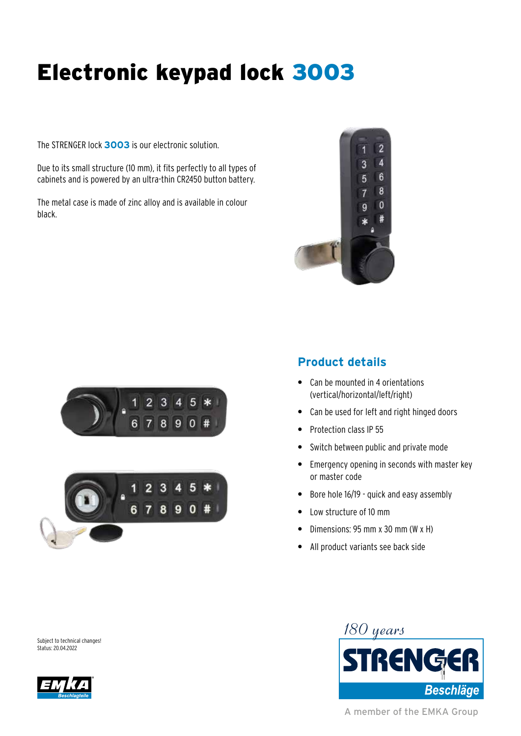# Electronic keypad lock 3003

The STRENGER lock **3003** is our electronic solution.

Due to its small structure (10 mm), it fits perfectly to all types of cabinets and is powered by an ultra-thin CR2450 button battery.

The metal case is made of zinc alloy and is available in colour black.





#### **Product details**

- **•** Can be mounted in 4 orientations (vertical/horizontal/left/right)
- **•** Can be used for left and right hinged doors
- **•** Protection class IP 55
- **•** Switch between public and private mode
- **•** Emergency opening in seconds with master key or master code
- **•** Bore hole 16/19 quick and easy assembly
- **•** Low structure of 10 mm
- **•** Dimensions: 95 mm x 30 mm (W x H)
- **•** All product variants see back side

Subject to technical changes! Status: 20.04.2022





A member of the EMKA Group